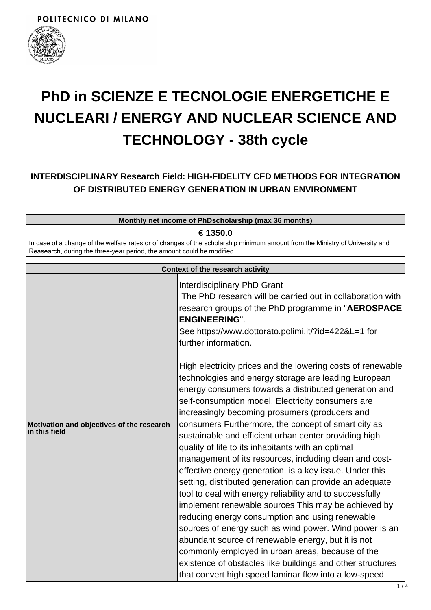

# **PhD in SCIENZE E TECNOLOGIE ENERGETICHE E NUCLEARI / ENERGY AND NUCLEAR SCIENCE AND TECHNOLOGY - 38th cycle**

# **INTERDISCIPLINARY Research Field: HIGH-FIDELITY CFD METHODS FOR INTEGRATION OF DISTRIBUTED ENERGY GENERATION IN URBAN ENVIRONMENT**

| Monthly net income of PhDscholarship (max 36 months)                                                                                                                                                               |                                                                                                                                                                                                                                                                                                                                                                                                                                                                                                                                                                                                                                                                                                                                                                                                                                                                                                                                                                                                                                                                                                                                                                                                                                                                                                                                                                      |  |
|--------------------------------------------------------------------------------------------------------------------------------------------------------------------------------------------------------------------|----------------------------------------------------------------------------------------------------------------------------------------------------------------------------------------------------------------------------------------------------------------------------------------------------------------------------------------------------------------------------------------------------------------------------------------------------------------------------------------------------------------------------------------------------------------------------------------------------------------------------------------------------------------------------------------------------------------------------------------------------------------------------------------------------------------------------------------------------------------------------------------------------------------------------------------------------------------------------------------------------------------------------------------------------------------------------------------------------------------------------------------------------------------------------------------------------------------------------------------------------------------------------------------------------------------------------------------------------------------------|--|
| € 1350.0<br>In case of a change of the welfare rates or of changes of the scholarship minimum amount from the Ministry of University and<br>Reasearch, during the three-year period, the amount could be modified. |                                                                                                                                                                                                                                                                                                                                                                                                                                                                                                                                                                                                                                                                                                                                                                                                                                                                                                                                                                                                                                                                                                                                                                                                                                                                                                                                                                      |  |
| Context of the research activity                                                                                                                                                                                   |                                                                                                                                                                                                                                                                                                                                                                                                                                                                                                                                                                                                                                                                                                                                                                                                                                                                                                                                                                                                                                                                                                                                                                                                                                                                                                                                                                      |  |
| Motivation and objectives of the research<br>in this field                                                                                                                                                         | Interdisciplinary PhD Grant<br>The PhD research will be carried out in collaboration with<br>research groups of the PhD programme in "AEROSPACE<br><b>ENGINEERING".</b><br>See https://www.dottorato.polimi.it/?id=422&L=1 for<br>further information.<br>High electricity prices and the lowering costs of renewable<br>technologies and energy storage are leading European<br>energy consumers towards a distributed generation and<br>self-consumption model. Electricity consumers are<br>increasingly becoming prosumers (producers and<br>consumers Furthermore, the concept of smart city as<br>sustainable and efficient urban center providing high<br>quality of life to its inhabitants with an optimal<br>management of its resources, including clean and cost-<br>effective energy generation, is a key issue. Under this<br>setting, distributed generation can provide an adequate<br>tool to deal with energy reliability and to successfully<br>implement renewable sources This may be achieved by<br>reducing energy consumption and using renewable<br>sources of energy such as wind power. Wind power is an<br>abundant source of renewable energy, but it is not<br>commonly employed in urban areas, because of the<br>existence of obstacles like buildings and other structures<br>that convert high speed laminar flow into a low-speed |  |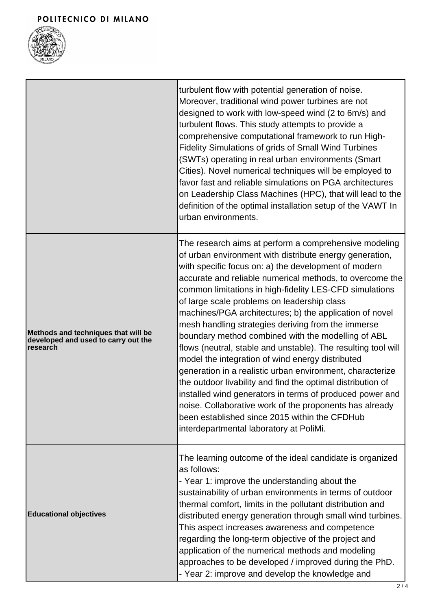

|                                                                                               | turbulent flow with potential generation of noise.<br>Moreover, traditional wind power turbines are not<br>designed to work with low-speed wind (2 to 6m/s) and<br>turbulent flows. This study attempts to provide a<br>comprehensive computational framework to run High-<br><b>Fidelity Simulations of grids of Small Wind Turbines</b><br>(SWTs) operating in real urban environments (Smart<br>Cities). Novel numerical techniques will be employed to<br>favor fast and reliable simulations on PGA architectures<br>on Leadership Class Machines (HPC), that will lead to the<br>definition of the optimal installation setup of the VAWT In<br>urban environments.                                                                                                                                                                                                                                                                                                                 |
|-----------------------------------------------------------------------------------------------|-------------------------------------------------------------------------------------------------------------------------------------------------------------------------------------------------------------------------------------------------------------------------------------------------------------------------------------------------------------------------------------------------------------------------------------------------------------------------------------------------------------------------------------------------------------------------------------------------------------------------------------------------------------------------------------------------------------------------------------------------------------------------------------------------------------------------------------------------------------------------------------------------------------------------------------------------------------------------------------------|
| Methods and techniques that will be<br>developed and used to carry out the<br><b>research</b> | The research aims at perform a comprehensive modeling<br>of urban environment with distribute energy generation,<br>with specific focus on: a) the development of modern<br>accurate and reliable numerical methods, to overcome the<br>common limitations in high-fidelity LES-CFD simulations<br>of large scale problems on leadership class<br>machines/PGA architectures; b) the application of novel<br>mesh handling strategies deriving from the immerse<br>boundary method combined with the modelling of ABL<br>flows (neutral, stable and unstable). The resulting tool will<br>model the integration of wind energy distributed<br>generation in a realistic urban environment, characterize<br>the outdoor livability and find the optimal distribution of<br>installed wind generators in terms of produced power and<br>noise. Collaborative work of the proponents has already<br>been established since 2015 within the CFDHub<br>interdepartmental laboratory at PoliMi. |
| <b>Educational objectives</b>                                                                 | The learning outcome of the ideal candidate is organized<br>as follows:<br>- Year 1: improve the understanding about the<br>sustainability of urban environments in terms of outdoor<br>thermal comfort, limits in the pollutant distribution and<br>distributed energy generation through small wind turbines.<br>This aspect increases awareness and competence<br>regarding the long-term objective of the project and<br>application of the numerical methods and modeling<br>approaches to be developed / improved during the PhD.<br>- Year 2: improve and develop the knowledge and                                                                                                                                                                                                                                                                                                                                                                                                |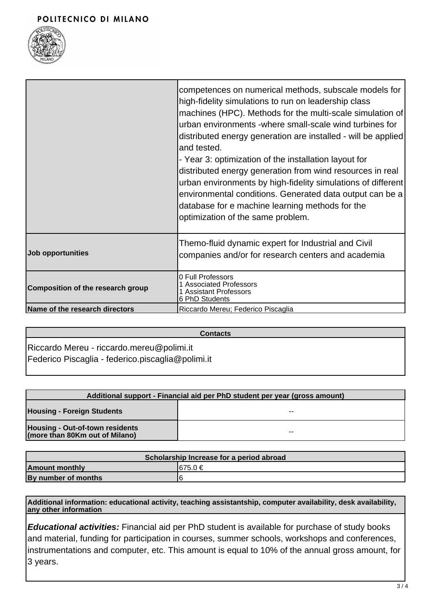#### POLITECNICO DI MILANO



|                                   | competences on numerical methods, subscale models for<br>high-fidelity simulations to run on leadership class<br>machines (HPC). Methods for the multi-scale simulation of<br>urban environments -where small-scale wind turbines for<br>distributed energy generation are installed - will be applied<br>and tested.<br>- Year 3: optimization of the installation layout for<br>distributed energy generation from wind resources in real<br>urban environments by high-fidelity simulations of different<br>environmental conditions. Generated data output can be a<br>database for e machine learning methods for the<br>optimization of the same problem. |
|-----------------------------------|-----------------------------------------------------------------------------------------------------------------------------------------------------------------------------------------------------------------------------------------------------------------------------------------------------------------------------------------------------------------------------------------------------------------------------------------------------------------------------------------------------------------------------------------------------------------------------------------------------------------------------------------------------------------|
| Job opportunities                 | Themo-fluid dynamic expert for Industrial and Civil<br>companies and/or for research centers and academia                                                                                                                                                                                                                                                                                                                                                                                                                                                                                                                                                       |
| Composition of the research group | 0 Full Professors<br>1 Associated Professors<br><b>Assistant Professors</b><br>6 PhD Students                                                                                                                                                                                                                                                                                                                                                                                                                                                                                                                                                                   |
| Name of the research directors    | Riccardo Mereu; Federico Piscaglia                                                                                                                                                                                                                                                                                                                                                                                                                                                                                                                                                                                                                              |

## **Contacts**

Riccardo Mereu - riccardo.mereu@polimi.it Federico Piscaglia - federico.piscaglia@polimi.it

| Additional support - Financial aid per PhD student per year (gross amount) |    |  |
|----------------------------------------------------------------------------|----|--|
| <b>Housing - Foreign Students</b>                                          | -- |  |
| <b>Housing - Out-of-town residents</b><br>(more than 80Km out of Milano)   | -- |  |

| Scholarship Increase for a period abroad |              |  |
|------------------------------------------|--------------|--|
| <b>Amount monthly</b>                    | $1675.0 \in$ |  |
| By number of months                      | 16           |  |

**Additional information: educational activity, teaching assistantship, computer availability, desk availability, any other information**

**Educational activities:** Financial aid per PhD student is available for purchase of study books and material, funding for participation in courses, summer schools, workshops and conferences, instrumentations and computer, etc. This amount is equal to 10% of the annual gross amount, for 3 years.